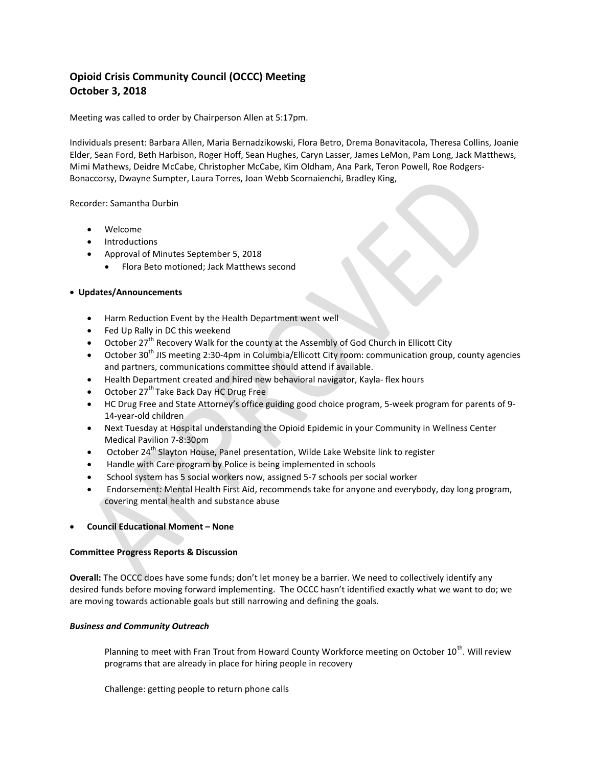# Opioid Crisis Community Council (OCCC) Meeting October 3, 2018

Meeting was called to order by Chairperson Allen at 5:17pm.

Individuals present: Barbara Allen, Maria Bernadzikowski, Flora Betro, Drema Bonavitacola, Theresa Collins, Joanie Elder, Sean Ford, Beth Harbison, Roger Hoff, Sean Hughes, Caryn Lasser, James LeMon, Pam Long, Jack Matthews, Mimi Mathews, Deidre McCabe, Christopher McCabe, Kim Oldham, Ana Park, Teron Powell, Roe Rodgers-Bonaccorsy, Dwayne Sumpter, Laura Torres, Joan Webb Scornaienchi, Bradley King,

Recorder: Samantha Durbin

- Welcome
- Introductions
- Approval of Minutes September 5, 2018
	- Flora Beto motioned; Jack Matthews second

# Updates/Announcements

- Harm Reduction Event by the Health Department went well
- Fed Up Rally in DC this weekend
- $\bullet$  October 27<sup>th</sup> Recovery Walk for the county at the Assembly of God Church in Ellicott City
- October 30<sup>th</sup> JIS meeting 2:30-4pm in Columbia/Ellicott City room: communication group, county agencies and partners, communications committee should attend if available.
- Health Department created and hired new behavioral navigator, Kayla- flex hours
- October 27<sup>th</sup> Take Back Day HC Drug Free
- HC Drug Free and State Attorney's office guiding good choice program, 5-week program for parents of 9- 14-year-old children
- Next Tuesday at Hospital understanding the Opioid Epidemic in your Community in Wellness Center Medical Pavilion 7-8:30pm
- October 24<sup>th</sup> Slayton House, Panel presentation, Wilde Lake Website link to register
- Handle with Care program by Police is being implemented in schools
- School system has 5 social workers now, assigned 5-7 schools per social worker
- Endorsement: Mental Health First Aid, recommends take for anyone and everybody, day long program, covering mental health and substance abuse

# Council Educational Moment – None

# Committee Progress Reports & Discussion

Overall: The OCCC does have some funds; don't let money be a barrier. We need to collectively identify any desired funds before moving forward implementing. The OCCC hasn't identified exactly what we want to do; we are moving towards actionable goals but still narrowing and defining the goals.

# Business and Community Outreach

Planning to meet with Fran Trout from Howard County Workforce meeting on October 10<sup>th</sup>. Will review programs that are already in place for hiring people in recovery

Challenge: getting people to return phone calls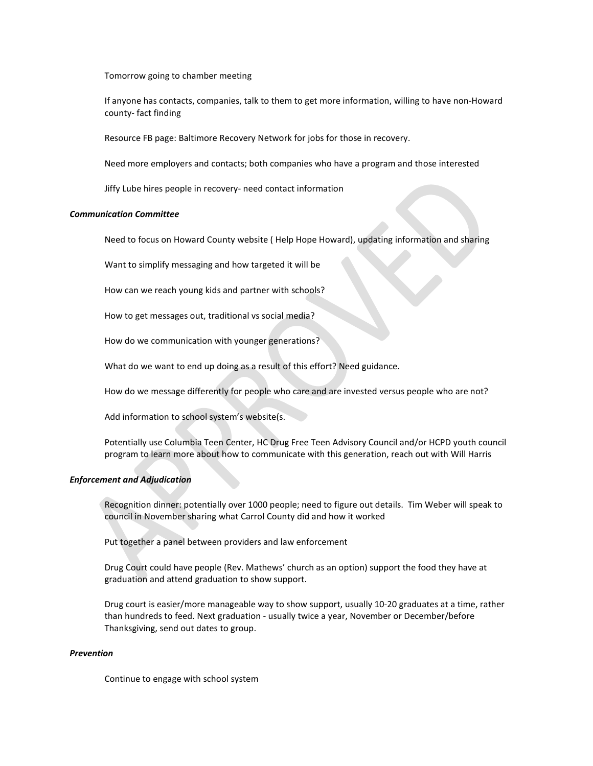Tomorrow going to chamber meeting

If anyone has contacts, companies, talk to them to get more information, willing to have non-Howard county- fact finding

Resource FB page: Baltimore Recovery Network for jobs for those in recovery.

Need more employers and contacts; both companies who have a program and those interested

Jiffy Lube hires people in recovery- need contact information

## Communication Committee

Need to focus on Howard County website ( Help Hope Howard), updating information and sharing

Want to simplify messaging and how targeted it will be

How can we reach young kids and partner with schools?

How to get messages out, traditional vs social media?

How do we communication with younger generations?

What do we want to end up doing as a result of this effort? Need guidance.

How do we message differently for people who care and are invested versus people who are not?

Add information to school system's website(s.

Potentially use Columbia Teen Center, HC Drug Free Teen Advisory Council and/or HCPD youth council program to learn more about how to communicate with this generation, reach out with Will Harris

## Enforcement and Adjudication

Recognition dinner: potentially over 1000 people; need to figure out details. Tim Weber will speak to council in November sharing what Carrol County did and how it worked

Put together a panel between providers and law enforcement

Drug Court could have people (Rev. Mathews' church as an option) support the food they have at graduation and attend graduation to show support.

Drug court is easier/more manageable way to show support, usually 10-20 graduates at a time, rather than hundreds to feed. Next graduation - usually twice a year, November or December/before Thanksgiving, send out dates to group.

#### Prevention

Continue to engage with school system